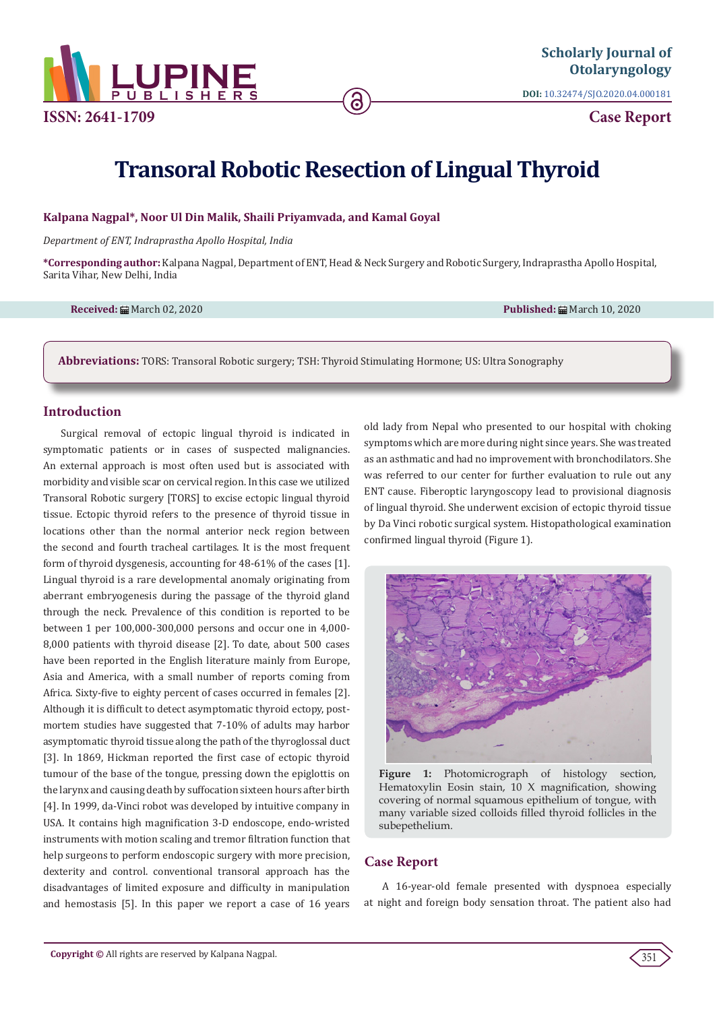

**ISSN: 2641-1709**

**DOI:** [10.32474/SJO.2020.04.000181](http://dx.doi.org/10.32474/SJO.2020.04.000181)

**Case Report**

# **Transoral Robotic Resection of Lingual Thyroid**

## **Kalpana Nagpal\*, Noor Ul Din Malik, Shaili Priyamvada, and Kamal Goyal**

*Department of ENT, Indraprastha Apollo Hospital, India* 

**\*Corresponding author:** Kalpana Nagpal, Department of ENT, Head & Neck Surgery and Robotic Surgery, Indraprastha Apollo Hospital, Sarita Vihar, New Delhi, India

**Received:** March 02, 2020 **Published:** March 10, 2020

**Abbreviations:** TORS: Transoral Robotic surgery; TSH: Thyroid Stimulating Hormone; US: Ultra Sonography

# **Introduction**

Surgical removal of ectopic lingual thyroid is indicated in symptomatic patients or in cases of suspected malignancies. An external approach is most often used but is associated with morbidity and visible scar on cervical region. In this case we utilized Transoral Robotic surgery [TORS] to excise ectopic lingual thyroid tissue. Ectopic thyroid refers to the presence of thyroid tissue in locations other than the normal anterior neck region between the second and fourth tracheal cartilages. It is the most frequent form of thyroid dysgenesis, accounting for 48-61% of the cases [1]. Lingual thyroid is a rare developmental anomaly originating from aberrant embryogenesis during the passage of the thyroid gland through the neck. Prevalence of this condition is reported to be between 1 per 100,000-300,000 persons and occur one in 4,000- 8,000 patients with thyroid disease [2]. To date, about 500 cases have been reported in the English literature mainly from Europe, Asia and America, with a small number of reports coming from Africa. Sixty-five to eighty percent of cases occurred in females [2]. Although it is difficult to detect asymptomatic thyroid ectopy, postmortem studies have suggested that 7-10% of adults may harbor asymptomatic thyroid tissue along the path of the thyroglossal duct [3]. In 1869, Hickman reported the first case of ectopic thyroid tumour of the base of the tongue, pressing down the epiglottis on the larynx and causing death by suffocation sixteen hours after birth [4]. In 1999, da-Vinci robot was developed by intuitive company in USA. It contains high magnification 3-D endoscope, endo-wristed instruments with motion scaling and tremor filtration function that help surgeons to perform endoscopic surgery with more precision, dexterity and control. conventional transoral approach has the disadvantages of limited exposure and difficulty in manipulation and hemostasis [5]. In this paper we report a case of 16 years old lady from Nepal who presented to our hospital with choking symptoms which are more during night since years. She was treated as an asthmatic and had no improvement with bronchodilators. She was referred to our center for further evaluation to rule out any ENT cause. Fiberoptic laryngoscopy lead to provisional diagnosis of lingual thyroid. She underwent excision of ectopic thyroid tissue by Da Vinci robotic surgical system. Histopathological examination confirmed lingual thyroid (Figure 1).



**Figure 1:** Photomicrograph of histology section, Hematoxylin Eosin stain, 10 X magnification, showing covering of normal squamous epithelium of tongue, with many variable sized colloids filled thyroid follicles in the subepethelium.

# **Case Report**

A 16-year-old female presented with dyspnoea especially at night and foreign body sensation throat. The patient also had

351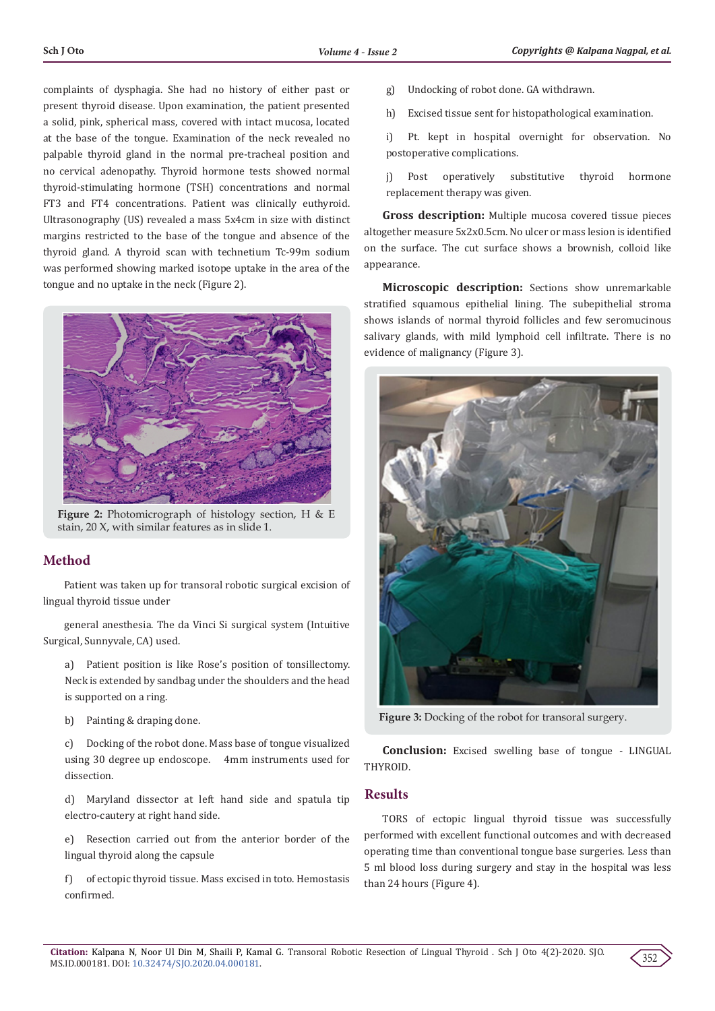complaints of dysphagia. She had no history of either past or present thyroid disease. Upon examination, the patient presented a solid, pink, spherical mass, covered with intact mucosa, located at the base of the tongue. Examination of the neck revealed no palpable thyroid gland in the normal pre-tracheal position and no cervical adenopathy. Thyroid hormone tests showed normal thyroid-stimulating hormone (TSH) concentrations and normal FT3 and FT4 concentrations. Patient was clinically euthyroid. Ultrasonography (US) revealed a mass 5x4cm in size with distinct margins restricted to the base of the tongue and absence of the thyroid gland. A thyroid scan with technetium Tc-99m sodium was performed showing marked isotope uptake in the area of the tongue and no uptake in the neck (Figure 2).



**Figure 2:** Photomicrograph of histology section, H & E stain, 20 X, with similar features as in slide 1.

# **Method**

 Patient was taken up for transoral robotic surgical excision of lingual thyroid tissue under

 general anesthesia. The da Vinci Si surgical system (Intuitive Surgical, Sunnyvale, CA) used.

a) Patient position is like Rose's position of tonsillectomy. Neck is extended by sandbag under the shoulders and the head is supported on a ring.

b) Painting & draping done.

c) Docking of the robot done. Mass base of tongue visualized using 30 degree up endoscope. 4mm instruments used for dissection.

d) Maryland dissector at left hand side and spatula tip electro-cautery at right hand side.

e) Resection carried out from the anterior border of the lingual thyroid along the capsule

f) of ectopic thyroid tissue. Mass excised in toto. Hemostasis confirmed.

- g) Undocking of robot done. GA withdrawn.
- h) Excised tissue sent for histopathological examination.

i) Pt. kept in hospital overnight for observation. No postoperative complications.

j) Post operatively substitutive thyroid hormone replacement therapy was given.

**Gross description:** Multiple mucosa covered tissue pieces altogether measure 5x2x0.5cm. No ulcer or mass lesion is identified on the surface. The cut surface shows a brownish, colloid like appearance.

**Microscopic description:** Sections show unremarkable stratified squamous epithelial lining. The subepithelial stroma shows islands of normal thyroid follicles and few seromucinous salivary glands, with mild lymphoid cell infiltrate. There is no evidence of malignancy (Figure 3).



**Figure 3:** Docking of the robot for transoral surgery.

**Conclusion:** Excised swelling base of tongue - LINGUAL THYROID.

### **Results**

TORS of ectopic lingual thyroid tissue was successfully performed with excellent functional outcomes and with decreased operating time than conventional tongue base surgeries. Less than 5 ml blood loss during surgery and stay in the hospital was less than 24 hours (Figure 4).

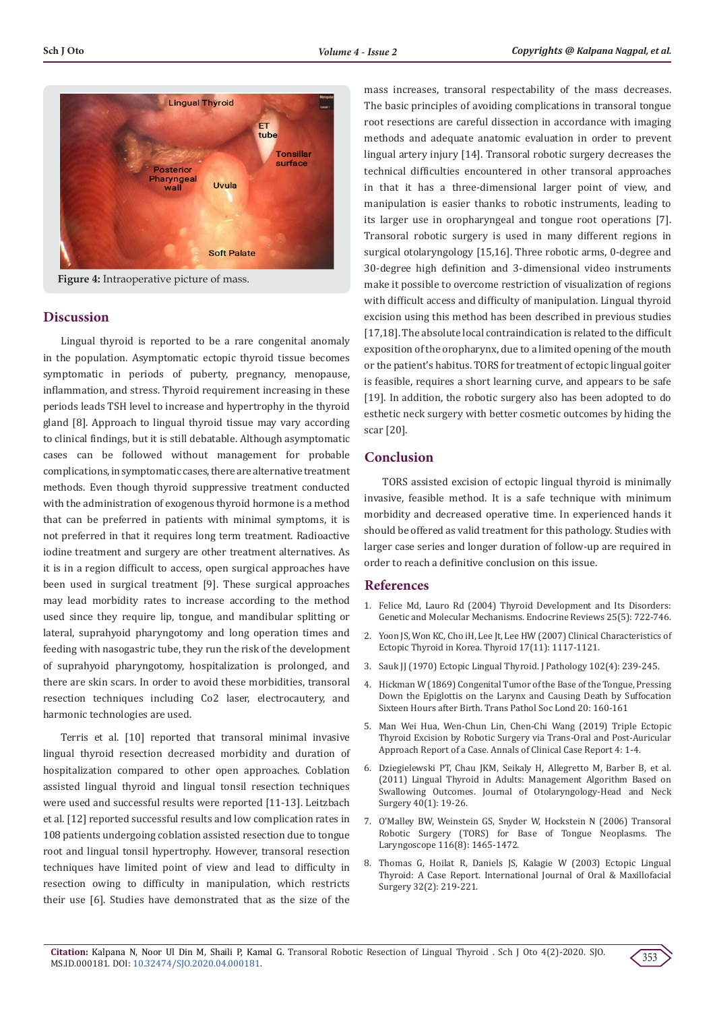

**Figure 4:** Intraoperative picture of mass.

#### **Discussion**

Lingual thyroid is reported to be a rare congenital anomaly in the population. Asymptomatic ectopic thyroid tissue becomes symptomatic in periods of puberty, pregnancy, menopause, inflammation, and stress. Thyroid requirement increasing in these periods leads TSH level to increase and hypertrophy in the thyroid gland [8]. Approach to lingual thyroid tissue may vary according to clinical findings, but it is still debatable. Although asymptomatic cases can be followed without management for probable complications, in symptomatic cases, there are alternative treatment methods. Even though thyroid suppressive treatment conducted with the administration of exogenous thyroid hormone is a method that can be preferred in patients with minimal symptoms, it is not preferred in that it requires long term treatment. Radioactive iodine treatment and surgery are other treatment alternatives. As it is in a region difficult to access, open surgical approaches have been used in surgical treatment [9]. These surgical approaches may lead morbidity rates to increase according to the method used since they require lip, tongue, and mandibular splitting or lateral, suprahyoid pharyngotomy and long operation times and feeding with nasogastric tube, they run the risk of the development of suprahyoid pharyngotomy, hospitalization is prolonged, and there are skin scars. In order to avoid these morbidities, transoral resection techniques including Co2 laser, electrocautery, and harmonic technologies are used.

Terris et al. [10] reported that transoral minimal invasive lingual thyroid resection decreased morbidity and duration of hospitalization compared to other open approaches. Coblation assisted lingual thyroid and lingual tonsil resection techniques were used and successful results were reported [11-13]. Leitzbach et al. [12] reported successful results and low complication rates in 108 patients undergoing coblation assisted resection due to tongue root and lingual tonsil hypertrophy. However, transoral resection techniques have limited point of view and lead to difficulty in resection owing to difficulty in manipulation, which restricts their use [6]. Studies have demonstrated that as the size of the

mass increases, transoral respectability of the mass decreases. The basic principles of avoiding complications in transoral tongue root resections are careful dissection in accordance with imaging methods and adequate anatomic evaluation in order to prevent lingual artery injury [14]. Transoral robotic surgery decreases the technical difficulties encountered in other transoral approaches in that it has a three-dimensional larger point of view, and manipulation is easier thanks to robotic instruments, leading to its larger use in oropharyngeal and tongue root operations [7]. Transoral robotic surgery is used in many different regions in surgical otolaryngology [15,16]. Three robotic arms, 0-degree and 30-degree high definition and 3-dimensional video instruments make it possible to overcome restriction of visualization of regions with difficult access and difficulty of manipulation. Lingual thyroid excision using this method has been described in previous studies [17,18]. The absolute local contraindication is related to the difficult exposition of the oropharynx, due to a limited opening of the mouth or the patient's habitus. TORS for treatment of ectopic lingual goiter is feasible, requires a short learning curve, and appears to be safe [19]. In addition, the robotic surgery also has been adopted to do esthetic neck surgery with better cosmetic outcomes by hiding the scar [20].

#### **Conclusion**

TORS assisted excision of ectopic lingual thyroid is minimally invasive, feasible method. It is a safe technique with minimum morbidity and decreased operative time. In experienced hands it should be offered as valid treatment for this pathology. Studies with larger case series and longer duration of follow-up are required in order to reach a definitive conclusion on this issue.

#### **References**

- 1. [Felice Md, Lauro Rd \(2004\) Thyroid Development and Its Disorders:](https://pubmed.ncbi.nlm.nih.gov/15466939-thyroid-development-and-its-disorders-genetics-and-molecular-mechanisms/) [Genetic and Molecular Mechanisms. Endocrine Reviews 25\(5\): 722-746.](https://pubmed.ncbi.nlm.nih.gov/15466939-thyroid-development-and-its-disorders-genetics-and-molecular-mechanisms/)
- 2. [Yoon JS, Won KC, Cho iH, Lee Jt, Lee HW \(2007\) Clinical Characteristics of](https://pubmed.ncbi.nlm.nih.gov/17887928-clinical-characteristics-of-ectopic-thyroid-in-korea/) [Ectopic Thyroid in Korea. Thyroid 17\(11\): 1117-1121.](https://pubmed.ncbi.nlm.nih.gov/17887928-clinical-characteristics-of-ectopic-thyroid-in-korea/)
- 3. [Sauk JJ \(1970\) Ectopic Lingual Thyroid. J Pathology 102\(4\): 239-245.](https://pubmed.ncbi.nlm.nih.gov/5508735-ectopic-lingual-thyroid/)
- 4. Hickman W (1869) Congenital Tumor of the Base of the Tongue, Pressing Down the Epiglottis on the Larynx and Causing Death by Suffocation Sixteen Hours after Birth. Trans Pathol Soc Lond 20: 160-161
- 5. [Man Wei Hua, Wen-Chun Lin, Chen-Chi Wang \(2019\) Triple Ectopic](http://www.anncaserep.com/pdfs_folder/accr-v4-id1680.pdf) [Thyroid Excision by Robotic Surgery via Trans-Oral and Post-Auricular](http://www.anncaserep.com/pdfs_folder/accr-v4-id1680.pdf) [Approach Report of a Case. Annals of Clinical Case Report 4: 1-4.](http://www.anncaserep.com/pdfs_folder/accr-v4-id1680.pdf)
- 6. [Dziegielewski PT, Chau JKM, Seikaly H, Allegretto M, Barber B, et al.](https://pubmed.ncbi.nlm.nih.gov/21303597-lingual-thyroid-in-adults-management-algorithm-based-on-swallowing-outcomes/) [\(2011\) Lingual Thyroid in Adults: Management Algorithm Based on](https://pubmed.ncbi.nlm.nih.gov/21303597-lingual-thyroid-in-adults-management-algorithm-based-on-swallowing-outcomes/) [Swallowing Outcomes. Journal of Otolaryngology-Head and Neck](https://pubmed.ncbi.nlm.nih.gov/21303597-lingual-thyroid-in-adults-management-algorithm-based-on-swallowing-outcomes/) [Surgery 40\(1\): 19-26.](https://pubmed.ncbi.nlm.nih.gov/21303597-lingual-thyroid-in-adults-management-algorithm-based-on-swallowing-outcomes/)
- 7. [O'Malley BW, Weinstein GS, Snyder W, Hockstein N \(2006\) Transoral](https://pubmed.ncbi.nlm.nih.gov/16885755-transoral-robotic-surgery-tors-for-base-of-tongue-neoplasms/) [Robotic Surgery \(TORS\) for Base of Tongue Neoplasms. The](https://pubmed.ncbi.nlm.nih.gov/16885755-transoral-robotic-surgery-tors-for-base-of-tongue-neoplasms/) [Laryngoscope 116\(8\): 1465-1472.](https://pubmed.ncbi.nlm.nih.gov/16885755-transoral-robotic-surgery-tors-for-base-of-tongue-neoplasms/)
- 8. [Thomas G, Hoilat R, Daniels JS, Kalagie W \(2003\) Ectopic Lingual](https://pubmed.ncbi.nlm.nih.gov/12729787-ectopic-lingual-thyroid-a-case-report/) [Thyroid: A Case Report. International Journal of Oral & Maxillofacial](https://pubmed.ncbi.nlm.nih.gov/12729787-ectopic-lingual-thyroid-a-case-report/) [Surgery 32\(2\): 219-221.](https://pubmed.ncbi.nlm.nih.gov/12729787-ectopic-lingual-thyroid-a-case-report/)